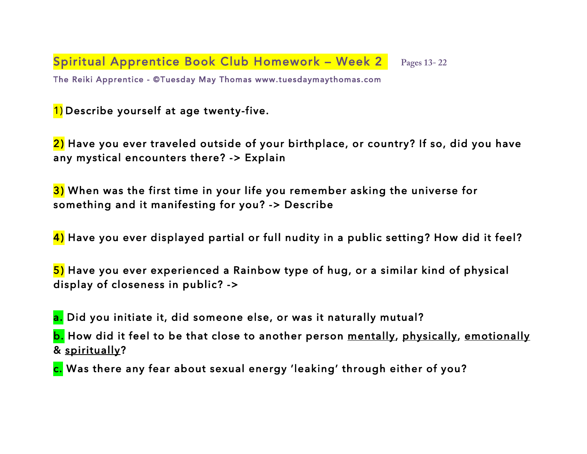**Spiritual Apprentice Book Club Homework - Week 2** Pages 13-22 The Reiki Apprentice - ©Tuesday May Thomas www.tuesdaymaythomas.com

1) Describe yourself at age twenty-five.

2) Have you ever traveled outside of your birthplace, or country? If so, did you have any mystical encounters there? -> Explain

3) When was the first time in your life you remember asking the universe for something and it manifesting for you? -> Describe

4) Have you ever displayed partial or full nudity in a public setting? How did it feel?

5) Have you ever experienced a Rainbow type of hug, or a similar kind of physical display of closeness in public? ->

a. Did you initiate it, did someone else, or was it naturally mutual?

b. How did it feel to be that close to another person <u>mentally</u>, physically, emotionally & spiritually?

c. Was there any fear about sexual energy 'leaking' through either of you?